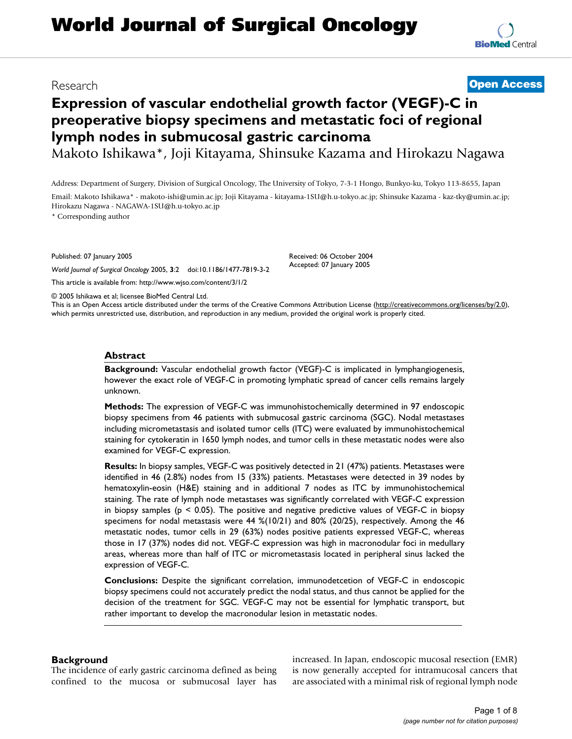# **Expression of vascular endothelial growth factor (VEGF)-C in preoperative biopsy specimens and metastatic foci of regional lymph nodes in submucosal gastric carcinoma**

Makoto Ishikawa\*, Joji Kitayama, Shinsuke Kazama and Hirokazu Nagawa

Address: Department of Surgery, Division of Surgical Oncology, The University of Tokyo, 7-3-1 Hongo, Bunkyo-ku, Tokyo 113-8655, Japan

Email: Makoto Ishikawa\* - makoto-ishi@umin.ac.jp; Joji Kitayama - kitayama-1SU@h.u-tokyo.ac.jp; Shinsuke Kazama - kaz-tky@umin.ac.jp; Hirokazu Nagawa - NAGAWA-1SU@h.u-tokyo.ac.jp

\* Corresponding author

Published: 07 January 2005

*World Journal of Surgical Oncology* 2005, **3**:2 doi:10.1186/1477-7819-3-2

[This article is available from: http://www.wjso.com/content/3/1/2](http://www.wjso.com/content/3/1/2)

© 2005 Ishikawa et al; licensee BioMed Central Ltd.

This is an Open Access article distributed under the terms of the Creative Commons Attribution License [\(http://creativecommons.org/licenses/by/2.0\)](http://creativecommons.org/licenses/by/2.0), which permits unrestricted use, distribution, and reproduction in any medium, provided the original work is properly cited.

#### **Abstract**

**Background:** Vascular endothelial growth factor (VEGF)-C is implicated in lymphangiogenesis, however the exact role of VEGF-C in promoting lymphatic spread of cancer cells remains largely unknown.

**Methods:** The expression of VEGF-C was immunohistochemically determined in 97 endoscopic biopsy specimens from 46 patients with submucosal gastric carcinoma (SGC). Nodal metastases including micrometastasis and isolated tumor cells (ITC) were evaluated by immunohistochemical staining for cytokeratin in 1650 lymph nodes, and tumor cells in these metastatic nodes were also examined for VEGF-C expression.

**Results:** In biopsy samples, VEGF-C was positively detected in 21 (47%) patients. Metastases were identified in 46 (2.8%) nodes from 15 (33%) patients. Metastases were detected in 39 nodes by hematoxylin-eosin (H&E) staining and in additional 7 nodes as ITC by immunohistochemical staining. The rate of lymph node metastases was significantly correlated with VEGF-C expression in biopsy samples ( $p \le 0.05$ ). The positive and negative predictive values of VEGF-C in biopsy specimens for nodal metastasis were 44 %(10/21) and 80% (20/25), respectively. Among the 46 metastatic nodes, tumor cells in 29 (63%) nodes positive patients expressed VEGF-C, whereas those in 17 (37%) nodes did not. VEGF-C expression was high in macronodular foci in medullary areas, whereas more than half of ITC or micrometastasis located in peripheral sinus lacked the expression of VEGF-C.

**Conclusions:** Despite the significant correlation, immunodetcetion of VEGF-C in endoscopic biopsy specimens could not accurately predict the nodal status, and thus cannot be applied for the decision of the treatment for SGC. VEGF-C may not be essential for lymphatic transport, but rather important to develop the macronodular lesion in metastatic nodes.

#### **Background**

The incidence of early gastric carcinoma defined as being confined to the mucosa or submucosal layer has increased. In Japan, endoscopic mucosal resection (EMR) is now generally accepted for intramucosal cancers that are associated with a minimal risk of regional lymph node

## Research **[Open Access](http://www.biomedcentral.com/info/about/charter/)**

Received: 06 October 2004 Accepted: 07 January 2005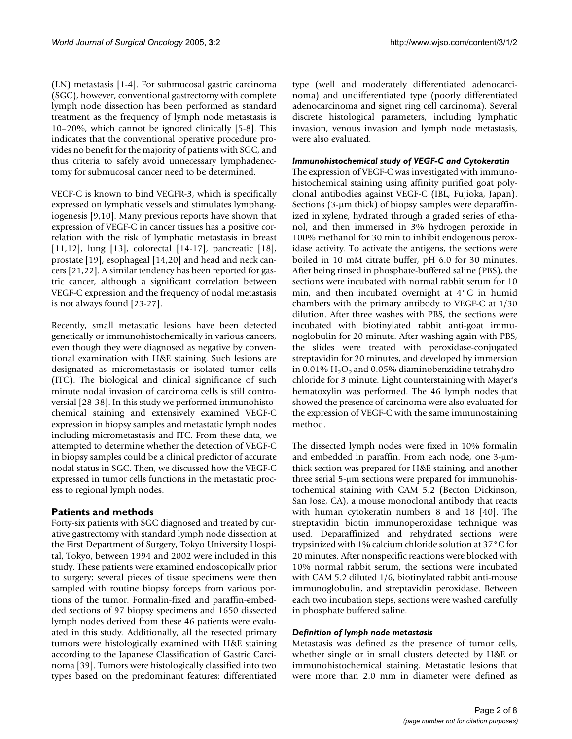(LN) metastasis [1-4]. For submucosal gastric carcinoma (SGC), however, conventional gastrectomy with complete lymph node dissection has been performed as standard treatment as the frequency of lymph node metastasis is 10–20%, which cannot be ignored clinically [5-8]. This indicates that the conventional operative procedure provides no benefit for the majority of patients with SGC, and thus criteria to safely avoid unnecessary lymphadenectomy for submucosal cancer need to be determined.

VECF-C is known to bind VEGFR-3, which is specifically expressed on lymphatic vessels and stimulates lymphangiogenesis [9,10]. Many previous reports have shown that expression of VEGF-C in cancer tissues has a positive correlation with the risk of lymphatic metastasis in breast [11,12], lung [13], colorectal [14-17], pancreatic [18], prostate [19], esophageal [14,20] and head and neck cancers [21,22]. A similar tendency has been reported for gastric cancer, although a significant correlation between VEGF-C expression and the frequency of nodal metastasis is not always found [23-27].

Recently, small metastatic lesions have been detected genetically or immunohistochemically in various cancers, even though they were diagnosed as negative by conventional examination with H&E staining. Such lesions are designated as micrometastasis or isolated tumor cells (ITC). The biological and clinical significance of such minute nodal invasion of carcinoma cells is still controversial [28-38]. In this study we performed immunohistochemical staining and extensively examined VEGF-C expression in biopsy samples and metastatic lymph nodes including micrometastasis and ITC. From these data, we attempted to determine whether the detection of VEGF-C in biopsy samples could be a clinical predictor of accurate nodal status in SGC. Then, we discussed how the VEGF-C expressed in tumor cells functions in the metastatic process to regional lymph nodes.

#### **Patients and methods**

Forty-six patients with SGC diagnosed and treated by curative gastrectomy with standard lymph node dissection at the First Department of Surgery, Tokyo University Hospital, Tokyo, between 1994 and 2002 were included in this study. These patients were examined endoscopically prior to surgery; several pieces of tissue specimens were then sampled with routine biopsy forceps from various portions of the tumor. Formalin-fixed and paraffin-embedded sections of 97 biopsy specimens and 1650 dissected lymph nodes derived from these 46 patients were evaluated in this study. Additionally, all the resected primary tumors were histologically examined with H&E staining according to the Japanese Classification of Gastric Carcinoma [39]. Tumors were histologically classified into two types based on the predominant features: differentiated

type (well and moderately differentiated adenocarcinoma) and undifferentiated type (poorly differentiated adenocarcinoma and signet ring cell carcinoma). Several discrete histological parameters, including lymphatic invasion, venous invasion and lymph node metastasis, were also evaluated.

#### *Immunohistochemical study of VEGF-C and Cytokeratin*

The expression of VEGF-C was investigated with immunohistochemical staining using affinity purified goat polyclonal antibodies against VEGF-C (IBL, Fujioka, Japan). Sections (3-µm thick) of biopsy samples were deparaffinized in xylene, hydrated through a graded series of ethanol, and then immersed in 3% hydrogen peroxide in 100% methanol for 30 min to inhibit endogenous peroxidase activity. To activate the antigens, the sections were boiled in 10 mM citrate buffer, pH 6.0 for 30 minutes. After being rinsed in phosphate-buffered saline (PBS), the sections were incubated with normal rabbit serum for 10 min, and then incubated overnight at 4°C in humid chambers with the primary antibody to VEGF-C at 1/30 dilution. After three washes with PBS, the sections were incubated with biotinylated rabbit anti-goat immunoglobulin for 20 minute. After washing again with PBS, the slides were treated with peroxidase-conjugated streptavidin for 20 minutes, and developed by immersion in 0.01%  $H_2O_2$  and 0.05% diaminobenzidine tetrahydrochloride for 3 minute. Light counterstaining with Mayer's hematoxylin was performed. The 46 lymph nodes that showed the presence of carcinoma were also evaluated for the expression of VEGF-C with the same immunostaining method.

The dissected lymph nodes were fixed in 10% formalin and embedded in paraffin. From each node, one 3-µmthick section was prepared for H&E staining, and another three serial 5-µm sections were prepared for immunohistochemical staining with CAM 5.2 (Becton Dickinson, San Jose, CA), a mouse monoclonal antibody that reacts with human cytokeratin numbers 8 and 18 [40]. The streptavidin biotin immunoperoxidase technique was used. Deparaffinized and rehydrated sections were trypsinized with 1% calcium chloride solution at 37°C for 20 minutes. After nonspecific reactions were blocked with 10% normal rabbit serum, the sections were incubated with CAM 5.2 diluted 1/6, biotinylated rabbit anti-mouse immunoglobulin, and streptavidin peroxidase. Between each two incubation steps, sections were washed carefully in phosphate buffered saline.

#### *Definition of lymph node metastasis*

Metastasis was defined as the presence of tumor cells, whether single or in small clusters detected by H&E or immunohistochemical staining. Metastatic lesions that were more than 2.0 mm in diameter were defined as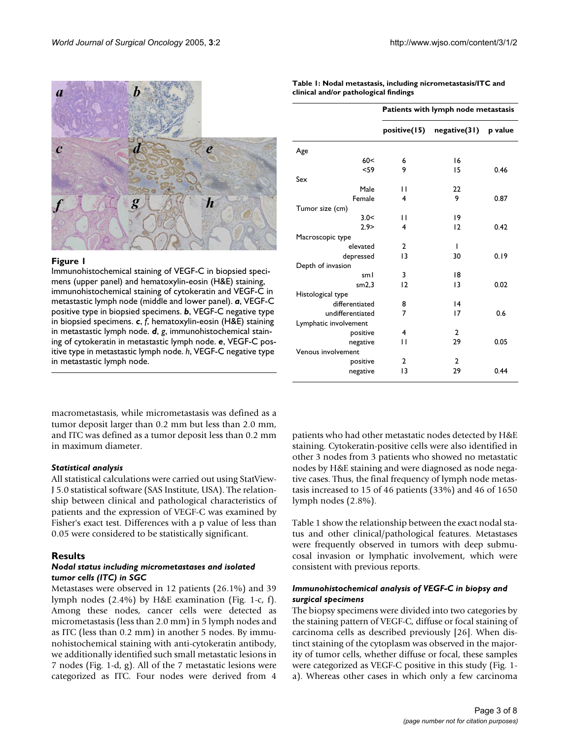

#### Figure I

Immunohistochemical staining of VEGF-C in biopsied specimens (upper panel) and hematoxylin-eosin (H&E) staining, immunohistochemical staining of cytokeratin and VEGF-C in metastastic lymph node (middle and lower panel). *a*, VEGF-C positive type in biopsied specimens. *b*, VEGF-C negative type in biopsied specimens. *c*, *f*, hematoxylin-eosin (H&E) staining in metastastic lymph node. *d*, *g*, immunohistochemical staining of cytokeratin in metastastic lymph node. *e*, VEGF-C positive type in metastastic lymph node. *h*, VEGF-C negative type in metastastic lymph node.

macrometastasis, while micrometastasis was defined as a tumor deposit larger than 0.2 mm but less than 2.0 mm, and ITC was defined as a tumor deposit less than 0.2 mm in maximum diameter.

#### *Statistical analysis*

All statistical calculations were carried out using StatView-J 5.0 statistical software (SAS Institute, USA). The relationship between clinical and pathological characteristics of patients and the expression of VEGF-C was examined by Fisher's exact test. Differences with a p value of less than 0.05 were considered to be statistically significant.

#### **Results**

#### *Nodal status including micrometastases and isolated tumor cells (ITC) in SGC*

Metastases were observed in 12 patients (26.1%) and 39 lymph nodes (2.4%) by H&E examination (Fig. 1-c, f). Among these nodes, cancer cells were detected as micrometastasis (less than 2.0 mm) in 5 lymph nodes and as ITC (less than 0.2 mm) in another 5 nodes. By immunohistochemical staining with anti-cytokeratin antibody, we additionally identified such small metastatic lesions in 7 nodes (Fig. 1-d, g). All of the 7 metastatic lesions were categorized as ITC. Four nodes were derived from 4

|                       | Patients with lymph node metastasis |                                   |      |  |
|-----------------------|-------------------------------------|-----------------------------------|------|--|
|                       |                                     | positive(15) negative(31) p value |      |  |
| Age                   |                                     |                                   |      |  |
| 60<                   | 6                                   | 16                                |      |  |
| $<$ 59                | 9                                   | 15                                | 0.46 |  |
| Sex                   |                                     |                                   |      |  |
| Male                  | П                                   | 22                                |      |  |
| Female                | $\overline{4}$                      | 9                                 | 0.87 |  |
| Tumor size (cm)       |                                     |                                   |      |  |
| 3.0<                  | $\mathbf{L}$                        | $\overline{19}$                   |      |  |
| 2.9>                  | 4                                   | 12                                | 0.42 |  |
| Macroscopic type      |                                     |                                   |      |  |
| elevated              | $\overline{2}$                      | I                                 |      |  |
| depressed             | 3                                   | 30                                | 0.19 |  |
| Depth of invasion     |                                     |                                   |      |  |
| sml                   | 3                                   | 18                                |      |  |
| sm2.3                 | 12                                  | $\overline{13}$                   | 0.02 |  |
| Histological type     |                                     |                                   |      |  |
| differentiated        | 8                                   | 4                                 |      |  |
| undifferentiated      | 7                                   | 17                                | 0.6  |  |
| Lymphatic involvement |                                     |                                   |      |  |
| positive              | $\overline{4}$                      | $\overline{2}$                    |      |  |
| negative              | $\mathbf{I}$                        | 29                                | 0.05 |  |
| Venous involvement    |                                     |                                   |      |  |
| positive              | $\overline{2}$                      | $\mathbf{2}$                      |      |  |
| negative              | $\overline{13}$                     | 29                                | 0.44 |  |

**Table 1: Nodal metastasis, including nicrometastasis/ITC and clinical and/or pathological findings**

patients who had other metastatic nodes detected by H&E staining. Cytokeratin-positive cells were also identified in other 3 nodes from 3 patients who showed no metastatic nodes by H&E staining and were diagnosed as node negative cases. Thus, the final frequency of lymph node metastasis increased to 15 of 46 patients (33%) and 46 of 1650 lymph nodes (2.8%).

Table 1 show the relationship between the exact nodal status and other clinical/pathological features. Metastases were frequently observed in tumors with deep submucosal invasion or lymphatic involvement, which were consistent with previous reports.

#### *Immunohistochemical analysis of VEGF-C in biopsy and surgical specimens*

The biopsy specimens were divided into two categories by the staining pattern of VEGF-C, diffuse or focal staining of carcinoma cells as described previously [26]. When distinct staining of the cytoplasm was observed in the majority of tumor cells, whether diffuse or focal, these samples were categorized as VEGF-C positive in this study (Fig. 1 a). Whereas other cases in which only a few carcinoma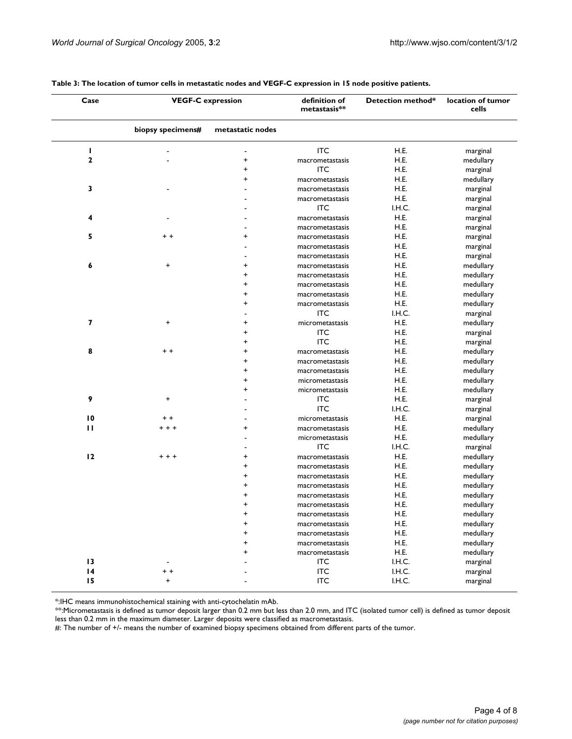| Case            | <b>VEGF-C</b> expression |                  | definition of<br>metastasis** | Detection method* | location of tumor<br>cells |
|-----------------|--------------------------|------------------|-------------------------------|-------------------|----------------------------|
|                 | biopsy specimens#        | metastatic nodes |                               |                   |                            |
| Т               |                          |                  | <b>ITC</b>                    | H.E.              | marginal                   |
| $\mathbf{2}$    |                          | $\ddot{}$        | macrometastasis               | H.E.              | medullary                  |
|                 |                          | $\ddot{}$        | <b>ITC</b>                    | H.E.              | marginal                   |
|                 |                          | +                | macrometastasis               | H.E.              | medullary                  |
| 3               |                          |                  | macrometastasis               | H.E.              | marginal                   |
|                 |                          |                  | macrometastasis               | H.E.              | marginal                   |
|                 |                          |                  | <b>ITC</b>                    | I.H.C.            | marginal                   |
| 4               |                          |                  | macrometastasis               | H.E.              | marginal                   |
|                 |                          |                  | macrometastasis               | H.E.              | marginal                   |
| 5               | $+ +$                    | +                | macrometastasis               | H.E.              | marginal                   |
|                 |                          |                  | macrometastasis               | H.E.              | marginal                   |
|                 |                          |                  | macrometastasis               | H.E.              | marginal                   |
| 6               | $\ddot{}$                | +                | macrometastasis               | H.E.              | medullary                  |
|                 |                          | $\ddot{}$        | macrometastasis               | H.E.              | medullary                  |
|                 |                          | $\ddot{}$        | macrometastasis               | H.E.              | medullary                  |
|                 |                          | $\ddot{}$        | macrometastasis               | H.E.              | medullary                  |
|                 |                          | +                | macrometastasis               | H.E.              | medullary                  |
|                 |                          |                  | <b>ITC</b>                    | I.H.C.            | marginal                   |
| 7               | $\ddot{}$                | +                | micrometastasis               | H.E.              | medullary                  |
|                 |                          | +                | ITC                           | H.E.              | marginal                   |
|                 |                          | $\ddot{}$        | <b>ITC</b>                    | H.E.              | marginal                   |
| 8               | $+ +$                    | $\ddot{}$        | macrometastasis               | H.E.              | medullary                  |
|                 |                          | +                | macrometastasis               | H.E.              | medullary                  |
|                 |                          | +                | macrometastasis               | H.E.              | medullary                  |
|                 |                          | $\ddot{}$        | micrometastasis               | H.E.              | medullary                  |
|                 |                          | +                | micrometastasis               | H.E.              | medullary                  |
| 9               | $\ddot{}$                |                  | ITC                           | H.E.              | marginal                   |
|                 |                          |                  | <b>ITC</b>                    | I.H.C.            | marginal                   |
| $\overline{10}$ | $^{\mathrm{+}}$ +        |                  | micrometastasis               | H.E.              | marginal                   |
| п               | + + +                    | +                | macrometastasis               | H.E.              | medullary                  |
|                 |                          |                  | micrometastasis               | H.E.              | medullary                  |
|                 |                          | ÷                | ITC                           | I.H.C.            | marginal                   |
| 12              | $+ + +$                  | +                | macrometastasis               | H.E.              | medullary                  |
|                 |                          | +                | macrometastasis               | H.E.              | medullary                  |
|                 |                          | +                | macrometastasis               | H.E.              | medullary                  |
|                 |                          | +                | macrometastasis               | H.E.              | medullary                  |
|                 |                          | +                | macrometastasis               | H.E.              | medullary                  |
|                 |                          | $\ddot{}$        | macrometastasis               | H.E.              | medullary                  |
|                 |                          | +                | macrometastasis               | H.E.              | medullary                  |
|                 |                          | $\ddot{}$        | macrometastasis               | H.E.              | medullary                  |
|                 |                          | $\ddot{}$        | macrometastasis               | H.E.              | medullary                  |
|                 |                          | $\ddot{}$        |                               | H.E.              |                            |
|                 |                          | $\ddot{}$        | macrometastasis               | H.E.              | medullary                  |
| 13              |                          |                  | macrometastasis<br><b>ITC</b> | I.H.C.            | medullary                  |
| $\overline{14}$ | $+ +$                    |                  |                               |                   | marginal                   |
|                 |                          |                  | <b>ITC</b>                    | I.H.C.            | marginal                   |
| 15              | $\ddot{}$                | $\blacksquare$   | <b>ITC</b>                    | I.H.C.            | marginal                   |

#### **Table 3: The location of tumor cells in metastatic nodes and VEGF-C expression in 15 node positive patients.**

\*:IHC means immunohistochemical staining with anti-cytochelatin mAb.

\*\*:Micrometastasis is defined as tumor deposit larger than 0.2 mm but less than 2.0 mm, and ITC (isolated tumor cell) is defined as tumor deposit less than 0.2 mm in the maximum diameter. Larger deposits were classified as macrometastasis.

#: The number of +/- means the number of examined biopsy specimens obtained from different parts of the tumor.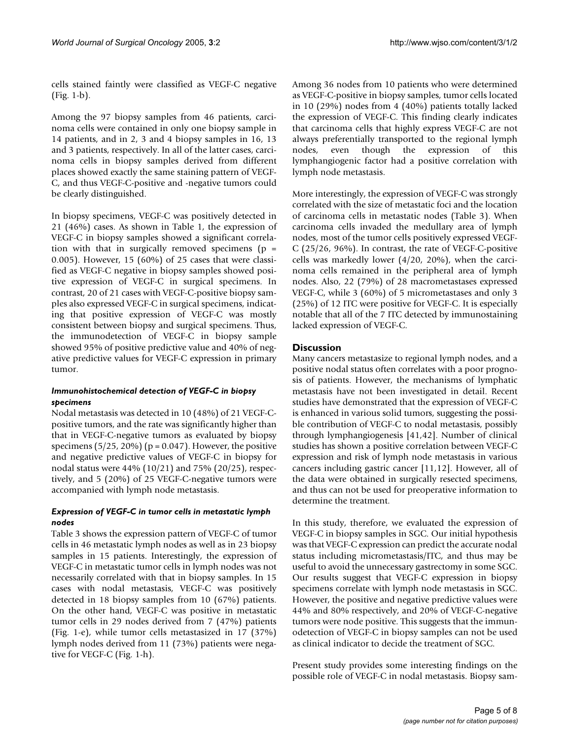cells stained faintly were classified as VEGF-C negative (Fig. 1-b).

Among the 97 biopsy samples from 46 patients, carcinoma cells were contained in only one biopsy sample in 14 patients, and in 2, 3 and 4 biopsy samples in 16, 13 and 3 patients, respectively. In all of the latter cases, carcinoma cells in biopsy samples derived from different places showed exactly the same staining pattern of VEGF-C, and thus VEGF-C-positive and -negative tumors could be clearly distinguished.

In biopsy specimens, VEGF-C was positively detected in 21 (46%) cases. As shown in Table 1, the expression of VEGF-C in biopsy samples showed a significant correlation with that in surgically removed specimens ( $p =$ 0.005). However, 15 (60%) of 25 cases that were classified as VEGF-C negative in biopsy samples showed positive expression of VEGF-C in surgical specimens. In contrast, 20 of 21 cases with VEGF-C-positive biopsy samples also expressed VEGF-C in surgical specimens, indicating that positive expression of VEGF-C was mostly consistent between biopsy and surgical specimens. Thus, the immunodetection of VEGF-C in biopsy sample showed 95% of positive predictive value and 40% of negative predictive values for VEGF-C expression in primary tumor.

#### *Immunohistochemical detection of VEGF-C in biopsy specimens*

Nodal metastasis was detected in 10 (48%) of 21 VEGF-Cpositive tumors, and the rate was significantly higher than that in VEGF-C-negative tumors as evaluated by biopsy specimens  $(5/25, 20%)$  (p = 0.047). However, the positive and negative predictive values of VEGF-C in biopsy for nodal status were 44% (10/21) and 75% (20/25), respectively, and 5 (20%) of 25 VEGF-C-negative tumors were accompanied with lymph node metastasis.

### *Expression of VEGF-C in tumor cells in metastatic lymph nodes*

Table 3 shows the expression pattern of VEGF-C of tumor cells in 46 metastatic lymph nodes as well as in 23 biopsy samples in 15 patients. Interestingly, the expression of VEGF-C in metastatic tumor cells in lymph nodes was not necessarily correlated with that in biopsy samples. In 15 cases with nodal metastasis, VEGF-C was positively detected in 18 biopsy samples from 10 (67%) patients. On the other hand, VEGF-C was positive in metastatic tumor cells in 29 nodes derived from 7 (47%) patients (Fig. 1-e), while tumor cells metastasized in 17 (37%) lymph nodes derived from 11 (73%) patients were negative for VEGF-C (Fig. 1-h).

Among 36 nodes from 10 patients who were determined as VEGF-C-positive in biopsy samples, tumor cells located in 10 (29%) nodes from 4 (40%) patients totally lacked the expression of VEGF-C. This finding clearly indicates that carcinoma cells that highly express VEGF-C are not always preferentially transported to the regional lymph nodes, even though the expression of this lymphangiogenic factor had a positive correlation with lymph node metastasis.

More interestingly, the expression of VEGF-C was strongly correlated with the size of metastatic foci and the location of carcinoma cells in metastatic nodes (Table 3). When carcinoma cells invaded the medullary area of lymph nodes, most of the tumor cells positively expressed VEGF-C (25/26, 96%). In contrast, the rate of VEGF-C-positive cells was markedly lower (4/20, 20%), when the carcinoma cells remained in the peripheral area of lymph nodes. Also, 22 (79%) of 28 macrometastases expressed VEGF-C, while 3 (60%) of 5 micrometastases and only 3 (25%) of 12 ITC were positive for VEGF-C. It is especially notable that all of the 7 ITC detected by immunostaining lacked expression of VEGF-C.

### **Discussion**

Many cancers metastasize to regional lymph nodes, and a positive nodal status often correlates with a poor prognosis of patients. However, the mechanisms of lymphatic metastasis have not been investigated in detail. Recent studies have demonstrated that the expression of VEGF-C is enhanced in various solid tumors, suggesting the possible contribution of VEGF-C to nodal metastasis, possibly through lymphangiogenesis [41,42]. Number of clinical studies has shown a positive correlation between VEGF-C expression and risk of lymph node metastasis in various cancers including gastric cancer [11,12]. However, all of the data were obtained in surgically resected specimens, and thus can not be used for preoperative information to determine the treatment.

In this study, therefore, we evaluated the expression of VEGF-C in biopsy samples in SGC. Our initial hypothesis was that VEGF-C expression can predict the accurate nodal status including micrometastasis/ITC, and thus may be useful to avoid the unnecessary gastrectomy in some SGC. Our results suggest that VEGF-C expression in biopsy specimens correlate with lymph node metastasis in SGC. However, the positive and negative predictive values were 44% and 80% respectively, and 20% of VEGF-C-negative tumors were node positive. This suggests that the immunodetection of VEGF-C in biopsy samples can not be used as clinical indicator to decide the treatment of SGC.

Present study provides some interesting findings on the possible role of VEGF-C in nodal metastasis. Biopsy sam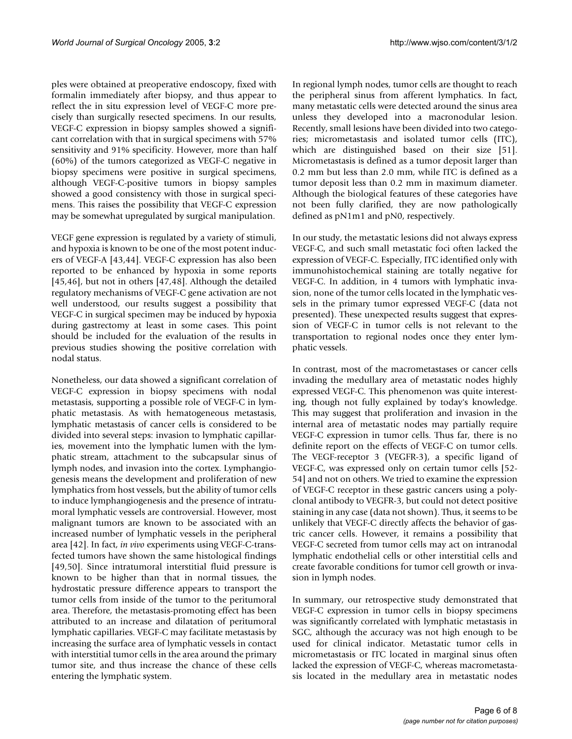ples were obtained at preoperative endoscopy, fixed with formalin immediately after biopsy, and thus appear to reflect the in situ expression level of VEGF-C more precisely than surgically resected specimens. In our results, VEGF-C expression in biopsy samples showed a significant correlation with that in surgical specimens with 57% sensitivity and 91% specificity. However, more than half (60%) of the tumors categorized as VEGF-C negative in biopsy specimens were positive in surgical specimens, although VEGF-C-positive tumors in biopsy samples showed a good consistency with those in surgical specimens. This raises the possibility that VEGF-C expression may be somewhat upregulated by surgical manipulation.

VEGF gene expression is regulated by a variety of stimuli, and hypoxia is known to be one of the most potent inducers of VEGF-A [43,44]. VEGF-C expression has also been reported to be enhanced by hypoxia in some reports [45,46], but not in others [47,48]. Although the detailed regulatory mechanisms of VEGF-C gene activation are not well understood, our results suggest a possibility that VEGF-C in surgical specimen may be induced by hypoxia during gastrectomy at least in some cases. This point should be included for the evaluation of the results in previous studies showing the positive correlation with nodal status.

Nonetheless, our data showed a significant correlation of VEGF-C expression in biopsy specimens with nodal metastasis, supporting a possible role of VEGF-C in lymphatic metastasis. As with hematogeneous metastasis, lymphatic metastasis of cancer cells is considered to be divided into several steps: invasion to lymphatic capillaries, movement into the lymphatic lumen with the lymphatic stream, attachment to the subcapsular sinus of lymph nodes, and invasion into the cortex. Lymphangiogenesis means the development and proliferation of new lymphatics from host vessels, but the ability of tumor cells to induce lymphangiogenesis and the presence of intratumoral lymphatic vessels are controversial. However, most malignant tumors are known to be associated with an increased number of lymphatic vessels in the peripheral area [42]. In fact, *in vivo* experiments using VEGF-C-transfected tumors have shown the same histological findings [49,50]. Since intratumoral interstitial fluid pressure is known to be higher than that in normal tissues, the hydrostatic pressure difference appears to transport the tumor cells from inside of the tumor to the peritumoral area. Therefore, the metastasis-promoting effect has been attributed to an increase and dilatation of peritumoral lymphatic capillaries. VEGF-C may facilitate metastasis by increasing the surface area of lymphatic vessels in contact with interstitial tumor cells in the area around the primary tumor site, and thus increase the chance of these cells entering the lymphatic system.

In regional lymph nodes, tumor cells are thought to reach the peripheral sinus from afferent lymphatics. In fact, many metastatic cells were detected around the sinus area unless they developed into a macronodular lesion. Recently, small lesions have been divided into two categories; micrometastasis and isolated tumor cells (ITC), which are distinguished based on their size [51]. Micrometastasis is defined as a tumor deposit larger than 0.2 mm but less than 2.0 mm, while ITC is defined as a tumor deposit less than 0.2 mm in maximum diameter. Although the biological features of these categories have not been fully clarified, they are now pathologically defined as pN1m1 and pN0, respectively.

In our study, the metastatic lesions did not always express VEGF-C, and such small metastatic foci often lacked the expression of VEGF-C. Especially, ITC identified only with immunohistochemical staining are totally negative for VEGF-C. In addition, in 4 tumors with lymphatic invasion, none of the tumor cells located in the lymphatic vessels in the primary tumor expressed VEGF-C (data not presented). These unexpected results suggest that expression of VEGF-C in tumor cells is not relevant to the transportation to regional nodes once they enter lymphatic vessels.

In contrast, most of the macrometastases or cancer cells invading the medullary area of metastatic nodes highly expressed VEGF-C. This phenomenon was quite interesting, though not fully explained by today's knowledge. This may suggest that proliferation and invasion in the internal area of metastatic nodes may partially require VEGF-C expression in tumor cells. Thus far, there is no definite report on the effects of VEGF-C on tumor cells. The VEGF-receptor 3 (VEGFR-3), a specific ligand of VEGF-C, was expressed only on certain tumor cells [52- 54] and not on others. We tried to examine the expression of VEGF-C receptor in these gastric cancers using a polyclonal antibody to VEGFR-3, but could not detect positive staining in any case (data not shown). Thus, it seems to be unlikely that VEGF-C directly affects the behavior of gastric cancer cells. However, it remains a possibility that VEGF-C secreted from tumor cells may act on intranodal lymphatic endothelial cells or other interstitial cells and create favorable conditions for tumor cell growth or invasion in lymph nodes.

In summary, our retrospective study demonstrated that VEGF-C expression in tumor cells in biopsy specimens was significantly correlated with lymphatic metastasis in SGC, although the accuracy was not high enough to be used for clinical indicator. Metastatic tumor cells in micrometastasis or ITC located in marginal sinus often lacked the expression of VEGF-C, whereas macrometastasis located in the medullary area in metastatic nodes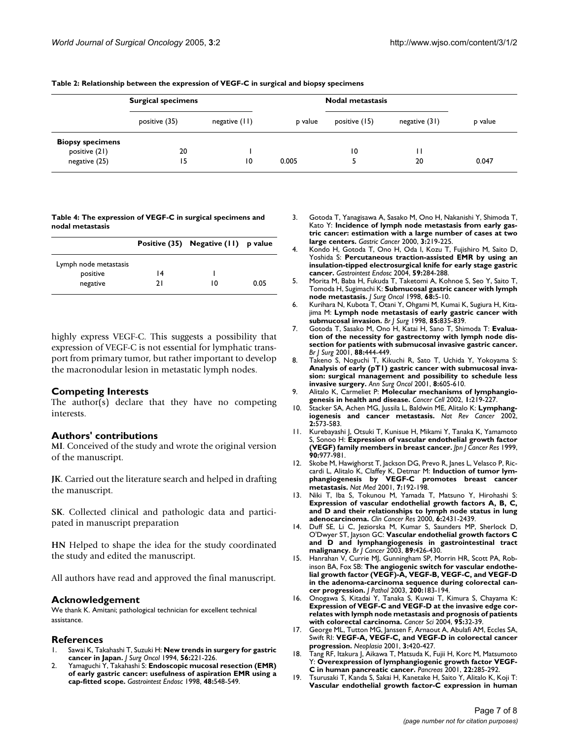|                         | <b>Surgical specimens</b> |                 |         | <b>Nodal metastasis</b> |                 |         |
|-------------------------|---------------------------|-----------------|---------|-------------------------|-----------------|---------|
|                         | positive (35)             | negative $(11)$ | p value | positive (15)           | negative $(31)$ | p value |
| <b>Biopsy specimens</b> |                           |                 |         |                         |                 |         |
| positive (21)           | 20                        |                 |         | $\overline{10}$         |                 |         |
| negative (25)           | 15                        | 10              | 0.005   |                         | 20              | 0.047   |

**Table 2: Relationship between the expression of VEGF-C in surgical and biopsy specimens**

**Table 4: The expression of VEGF-C in surgical specimens and nodal metastasis**

|                                   |    | Positive (35) Negative (11) p value |      |
|-----------------------------------|----|-------------------------------------|------|
| Lymph node metastasis<br>positive | 14 |                                     |      |
| negative                          | 21 | 10                                  | 0.05 |

highly express VEGF-C. This suggests a possibility that expression of VEGF-C is not essential for lymphatic transport from primary tumor, but rather important to develop the macronodular lesion in metastatic lymph nodes.

#### **Competing Interests**

The author(s) declare that they have no competing interests.

#### **Authors' contributions**

**MI**. Conceived of the study and wrote the original version of the manuscript.

**JK**. Carried out the literature search and helped in drafting the manuscript.

**SK**. Collected clinical and pathologic data and participated in manuscript preparation

**HN** Helped to shape the idea for the study coordinated the study and edited the manuscript.

All authors have read and approved the final manuscript.

#### **Acknowledgement**

We thank K. Amitani; pathological technician for excellent technical assistance.

#### **References**

- 1. Sawai K, Takahashi T, Suzuki H: **[New trends in surgery for gastric](http://www.ncbi.nlm.nih.gov/entrez/query.fcgi?cmd=Retrieve&db=PubMed&dopt=Abstract&list_uids=8057646) [cancer in Japan.](http://www.ncbi.nlm.nih.gov/entrez/query.fcgi?cmd=Retrieve&db=PubMed&dopt=Abstract&list_uids=8057646)** *J Surg Oncol* 1994, **56:**221-226.
- 2. Yamaguchi Y, Takahashi S: **[Endoscopic mucosal resection \(EMR\)](http://www.ncbi.nlm.nih.gov/entrez/query.fcgi?cmd=Retrieve&db=PubMed&dopt=Abstract&list_uids=9831854) [of early gastric cancer: usefulness of aspiration EMR using a](http://www.ncbi.nlm.nih.gov/entrez/query.fcgi?cmd=Retrieve&db=PubMed&dopt=Abstract&list_uids=9831854) [cap-fitted scope.](http://www.ncbi.nlm.nih.gov/entrez/query.fcgi?cmd=Retrieve&db=PubMed&dopt=Abstract&list_uids=9831854)** *Gastrointest Endosc* 1998, **48:**548-549.
- 3. Gotoda T, Yanagisawa A, Sasako M, Ono H, Nakanishi Y, Shimoda T, Kato Y: **[Incidence of lymph node metastasis from early gas](http://www.ncbi.nlm.nih.gov/entrez/query.fcgi?cmd=Retrieve&db=PubMed&dopt=Abstract&list_uids=11984739)[tric cancer: estimation with a large number of cases at two](http://www.ncbi.nlm.nih.gov/entrez/query.fcgi?cmd=Retrieve&db=PubMed&dopt=Abstract&list_uids=11984739) [large centers.](http://www.ncbi.nlm.nih.gov/entrez/query.fcgi?cmd=Retrieve&db=PubMed&dopt=Abstract&list_uids=11984739)** *Gastric Cancer* 2000, **3:**219-225.
- 4. Kondo H, Gotoda T, Ono H, Oda I, Kozu T, Fujishiro M, Saito D, Yoshida S: **[Percutaneous traction-assisted EMR by using an](http://www.ncbi.nlm.nih.gov/entrez/query.fcgi?cmd=Retrieve&db=PubMed&dopt=Abstract&list_uids=14745409) [insulation-tipped electrosurgical knife for early stage gastric](http://www.ncbi.nlm.nih.gov/entrez/query.fcgi?cmd=Retrieve&db=PubMed&dopt=Abstract&list_uids=14745409) [cancer.](http://www.ncbi.nlm.nih.gov/entrez/query.fcgi?cmd=Retrieve&db=PubMed&dopt=Abstract&list_uids=14745409)** *Gastrointest Endosc* 2004, **59:**284-288.
- 5. Morita M, Baba H, Fukuda T, Taketomi A, Kohnoe S, Seo Y, Saito T, Tomoda H, Sugimachi K: **[Submucosal gastric cancer with lymph](http://www.ncbi.nlm.nih.gov/entrez/query.fcgi?cmd=Retrieve&db=PubMed&dopt=Abstract&list_uids=9610656) [node metastasis.](http://www.ncbi.nlm.nih.gov/entrez/query.fcgi?cmd=Retrieve&db=PubMed&dopt=Abstract&list_uids=9610656)** *J Surg Oncol* 1998, **68:**5-10.
- 6. Kurihara N, Kubota T, Otani Y, Ohgami M, Kumai K, Sugiura H, Kitajima M: **[Lymph node metastasis of early gastric cancer with](http://www.ncbi.nlm.nih.gov/entrez/query.fcgi?cmd=Retrieve&db=PubMed&dopt=Abstract&list_uids=9667719) [submucosal invasion.](http://www.ncbi.nlm.nih.gov/entrez/query.fcgi?cmd=Retrieve&db=PubMed&dopt=Abstract&list_uids=9667719)** *Br J Surg* 1998, **85:**835-839.
- 7. Gotoda T, Sasako M, Ono H, Katai H, Sano T, Shimoda T: **[Evalua](http://www.ncbi.nlm.nih.gov/entrez/query.fcgi?cmd=Retrieve&db=PubMed&dopt=Abstract&list_uids=11260114)[tion of the necessity for gastrectomy with lymph node dis](http://www.ncbi.nlm.nih.gov/entrez/query.fcgi?cmd=Retrieve&db=PubMed&dopt=Abstract&list_uids=11260114)section for patients with submucosal invasive gastric cancer.** *Br J Surg* 2001, **88:**444-449.
- 8. Takeno S, Noguchi T, Kikuchi R, Sato T, Uchida Y, Yokoyama S: **[Analysis of early \(pT1\) gastric cancer with submucosal inva](http://www.ncbi.nlm.nih.gov/entrez/query.fcgi?cmd=Retrieve&db=PubMed&dopt=Abstract&list_uids=11508623)sion: surgical management and possibility to schedule less [invasive surgery.](http://www.ncbi.nlm.nih.gov/entrez/query.fcgi?cmd=Retrieve&db=PubMed&dopt=Abstract&list_uids=11508623)** *Ann Surg Oncol* 2001, **8:**605-610.
- 9. Alitalo K, Carmeliet P: **[Molecular mechanisms of lymphangio](http://www.ncbi.nlm.nih.gov/entrez/query.fcgi?cmd=Retrieve&db=PubMed&dopt=Abstract&list_uids=12086857)[genesis in health and disease.](http://www.ncbi.nlm.nih.gov/entrez/query.fcgi?cmd=Retrieve&db=PubMed&dopt=Abstract&list_uids=12086857)** *Cancer Cell* 2002, **1:**219-227.
- 10. Stacker SA, Achen MG, Jussila L, Baldwin ME, Alitalo K: **[Lymphang](http://www.ncbi.nlm.nih.gov/entrez/query.fcgi?cmd=Retrieve&db=PubMed&dopt=Abstract&list_uids=12154350)[iogenesis and cancer metastasis.](http://www.ncbi.nlm.nih.gov/entrez/query.fcgi?cmd=Retrieve&db=PubMed&dopt=Abstract&list_uids=12154350)** *Nat Rev Cancer* 2002, **2:**573-583.
- 11. Kurebayashi J, Otsuki T, Kunisue H, Mikami Y, Tanaka K, Yamamoto S, Sonoo H: **[Expression of vascular endothelial growth factor](http://www.ncbi.nlm.nih.gov/entrez/query.fcgi?cmd=Retrieve&db=PubMed&dopt=Abstract&list_uids=10551327) [\(VEGF\) family members in breast cancer.](http://www.ncbi.nlm.nih.gov/entrez/query.fcgi?cmd=Retrieve&db=PubMed&dopt=Abstract&list_uids=10551327)** *Jpn J Cancer Res* 1999, **90:**977-981.
- 12. Skobe M, Hawighorst T, Jackson DG, Prevo R, Janes L, Velasco P, Ric-cardi L, Alitalo K, Claffey K, Detmar M: [Induction of tumor lym](http://www.ncbi.nlm.nih.gov/entrez/query.fcgi?cmd=Retrieve&db=PubMed&dopt=Abstract&list_uids=11175850)**[phangiogenesis by VEGF-C promotes breast cancer](http://www.ncbi.nlm.nih.gov/entrez/query.fcgi?cmd=Retrieve&db=PubMed&dopt=Abstract&list_uids=11175850) [metastasis.](http://www.ncbi.nlm.nih.gov/entrez/query.fcgi?cmd=Retrieve&db=PubMed&dopt=Abstract&list_uids=11175850)** *Nat Med* 2001, **7:**192-198.
- 13. Niki T, Iba S, Tokunou M, Yamada T, Matsuno Y, Hirohashi S: **Expression of vascular endothelial growth factors A, B, C, [and D and their relationships to lymph node status in lung](http://www.ncbi.nlm.nih.gov/entrez/query.fcgi?cmd=Retrieve&db=PubMed&dopt=Abstract&list_uids=10873096) [adenocarcinoma.](http://www.ncbi.nlm.nih.gov/entrez/query.fcgi?cmd=Retrieve&db=PubMed&dopt=Abstract&list_uids=10873096)** *Clin Cancer Res* 2000, **6:**2431-2439.
- 14. Duff SE, Li C, Jeziorska M, Kumar S, Saunders MP, Sherlock D, O'Dwyer ST, Jayson GC: **[Vascular endothelial growth factors C](http://www.ncbi.nlm.nih.gov/entrez/query.fcgi?cmd=Retrieve&db=PubMed&dopt=Abstract&list_uids=12888807) [and D and lymphangiogenesis in gastrointestinal tract](http://www.ncbi.nlm.nih.gov/entrez/query.fcgi?cmd=Retrieve&db=PubMed&dopt=Abstract&list_uids=12888807) [malignancy.](http://www.ncbi.nlm.nih.gov/entrez/query.fcgi?cmd=Retrieve&db=PubMed&dopt=Abstract&list_uids=12888807)** *Br J Cancer* 2003, **89:**426-430.
- 15. Hanrahan V, Currie MJ, Gunningham SP, Morrin HR, Scott PA, Robinson BA, Fox SB: **[The angiogenic switch for vascular endothe](http://www.ncbi.nlm.nih.gov/entrez/query.fcgi?cmd=Retrieve&db=PubMed&dopt=Abstract&list_uids=12754739)lial growth factor (VEGF)-A, VEGF-B, VEGF-C, and VEGF-D [in the adenoma-carcinoma sequence during colorectal can](http://www.ncbi.nlm.nih.gov/entrez/query.fcgi?cmd=Retrieve&db=PubMed&dopt=Abstract&list_uids=12754739)[cer progression.](http://www.ncbi.nlm.nih.gov/entrez/query.fcgi?cmd=Retrieve&db=PubMed&dopt=Abstract&list_uids=12754739)** *J Pathol* 2003, **200:**183-194.
- 16. Onogawa S, Kitadai Y, Tanaka S, Kuwai T, Kimura S, Chayama K: **[Expression of VEGF-C and VEGF-D at the invasive edge cor](http://www.ncbi.nlm.nih.gov/entrez/query.fcgi?cmd=Retrieve&db=PubMed&dopt=Abstract&list_uids=14720324)relates with lymph node metastasis and prognosis of patients [with colorectal carcinoma.](http://www.ncbi.nlm.nih.gov/entrez/query.fcgi?cmd=Retrieve&db=PubMed&dopt=Abstract&list_uids=14720324)** *Cancer Sci* 2004, **95:**32-39.
- 17. George ML, Tutton MG, Janssen F, Arnaout A, Abulafi AM, Eccles SA, Swift RI: **[VEGF-A, VEGF-C, and VEGF-D in colorectal cancer](http://www.ncbi.nlm.nih.gov/entrez/query.fcgi?cmd=Retrieve&db=PubMed&dopt=Abstract&list_uids=11687953) [progression.](http://www.ncbi.nlm.nih.gov/entrez/query.fcgi?cmd=Retrieve&db=PubMed&dopt=Abstract&list_uids=11687953)** *Neoplasia* 2001, **3:**420-427.
- 18. Tang RF, Itakura J, Aikawa T, Matsuda K, Fujii H, Korc M, Matsumoto Y: **[Overexpression of lymphangiogenic growth factor VEGF-](http://www.ncbi.nlm.nih.gov/entrez/query.fcgi?cmd=Retrieve&db=PubMed&dopt=Abstract&list_uids=11291931)[C in human pancreatic cancer.](http://www.ncbi.nlm.nih.gov/entrez/query.fcgi?cmd=Retrieve&db=PubMed&dopt=Abstract&list_uids=11291931)** *Pancreas* 2001, **22:**285-292.
- 19. Tsurusaki T, Kanda S, Sakai H, Kanetake H, Saito Y, Alitalo K, Koji T: **[Vascular endothelial growth factor-C expression in human](http://www.ncbi.nlm.nih.gov/entrez/query.fcgi?cmd=Retrieve&db=PubMed&dopt=Abstract&list_uids=10390013)**